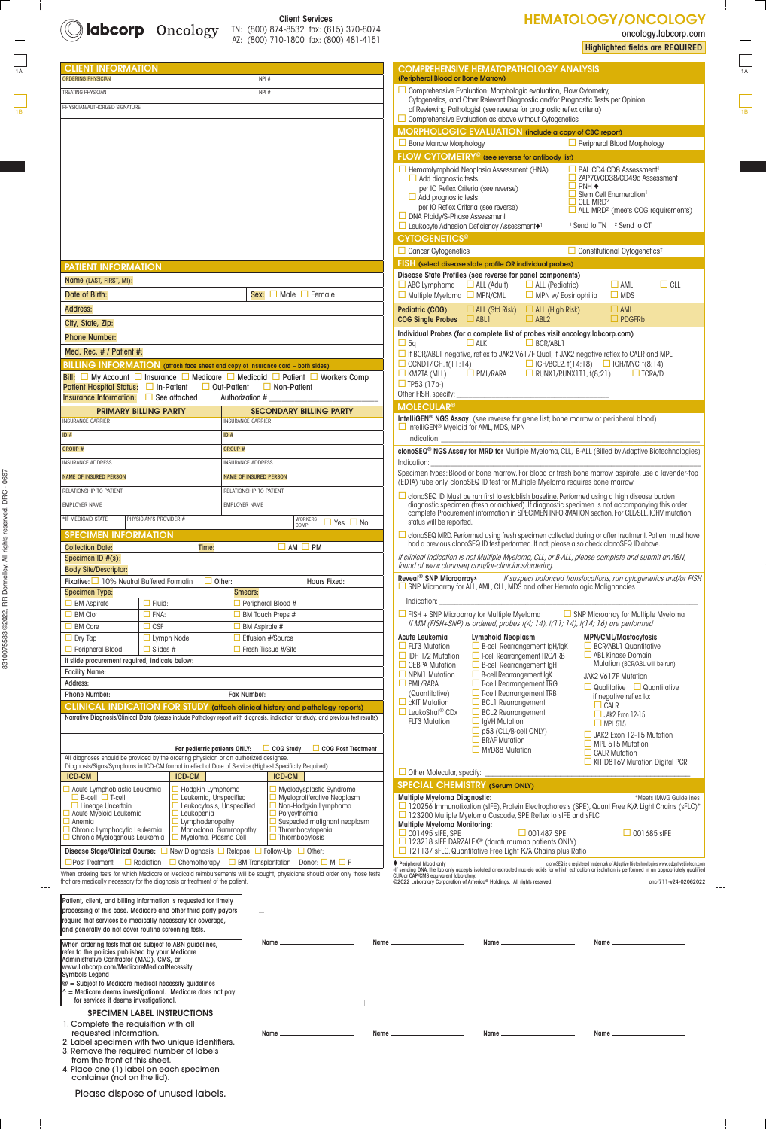|                                                                                                                                                                                                                             | AZ: (800) 710-1800 fax: (800) 481-4151                                                  |                                                                                                                                                                                                                             | <b>Highlighted fields are REQUIRED</b>                                                 |  |
|-----------------------------------------------------------------------------------------------------------------------------------------------------------------------------------------------------------------------------|-----------------------------------------------------------------------------------------|-----------------------------------------------------------------------------------------------------------------------------------------------------------------------------------------------------------------------------|----------------------------------------------------------------------------------------|--|
| <b>CLIENT INFORMATION</b><br><b>ORDERING PHYSICIAN</b>                                                                                                                                                                      | NPI#                                                                                    | <b>COMPREHENSIVE HEMATOPATHOLOGY ANALYSIS</b><br>(Peripheral Blood or Bone Marrow)                                                                                                                                          |                                                                                        |  |
| <b>TREATING PHYSICIAN</b>                                                                                                                                                                                                   | $NPI$ #                                                                                 | $\Box$ Comprehensive Evaluation: Morphologic evaluation, Flow Cytometry,                                                                                                                                                    |                                                                                        |  |
| PHYSICIAN/AUTHORIZED SIGNATURE                                                                                                                                                                                              |                                                                                         | Cytogenetics, and Other Relevant Diagnostic and/or Prognostic Tests per Opinion<br>of Reviewing Pathologist (see reverse for prognostic reflex criteria)                                                                    |                                                                                        |  |
|                                                                                                                                                                                                                             |                                                                                         | $\Box$ Comprehensive Evaluation as above without Cytogenetics                                                                                                                                                               |                                                                                        |  |
|                                                                                                                                                                                                                             |                                                                                         | MORPHOLOGIC EVALUATION (include a copy of CBC report)<br>Bone Marrow Morphology                                                                                                                                             | Peripheral Blood Morphology                                                            |  |
|                                                                                                                                                                                                                             |                                                                                         | <b>FLOW CYTOMETRY<sup>®</sup></b> (see reverse for antibody list)                                                                                                                                                           |                                                                                        |  |
|                                                                                                                                                                                                                             |                                                                                         | $\Box$ Hematolymphoid Neoplasia Assessment (HNA)                                                                                                                                                                            | BAL CD4:CD8 Assessment <sup>1</sup><br>ZAP70/CD38/CD49d Assessment                     |  |
|                                                                                                                                                                                                                             |                                                                                         | $\Box$ Add diagnostic tests<br>per IO Reflex Criteria (see reverse)                                                                                                                                                         | $\square$ PNH $\bullet$<br>$\Box$ Stem Cell Enumeration <sup>1</sup>                   |  |
|                                                                                                                                                                                                                             |                                                                                         | $\Box$ Add prognostic tests<br>per IO Reflex Criteria (see reverse)                                                                                                                                                         | $\Box$ CLL MRD <sup>2</sup><br>$\Box$ ALL MRD <sup>2</sup> (meets COG requirements)    |  |
|                                                                                                                                                                                                                             |                                                                                         | □ DNA Ploidy/S-Phase Assessment<br>$\Box$ Leukocyte Adhesion Deficiency Assessment $\triangleq$                                                                                                                             | <sup>1</sup> Send to TN <sup>2</sup> Send to CT                                        |  |
|                                                                                                                                                                                                                             |                                                                                         | <b>CYTOGENETICS®</b>                                                                                                                                                                                                        |                                                                                        |  |
|                                                                                                                                                                                                                             |                                                                                         | $\Box$ Cancer Cytogenetics                                                                                                                                                                                                  | $\Box$ Constitutional Cytogenetics <sup>‡</sup>                                        |  |
| <b>PATIENT INFORMATION</b>                                                                                                                                                                                                  |                                                                                         | FISH (select disease state profile OR individual probes)<br>Disease State Profiles (see reverse for panel components)                                                                                                       |                                                                                        |  |
| Name (LAST, FIRST, MI):<br>Date of Birth:                                                                                                                                                                                   | Sex: $\Box$ Male $\Box$ Female                                                          | $\Box$ ABC Lymphoma $\Box$ ALL (Adult)<br>$\Box$ ALL (Pediatric)<br>$\Box$ Multiple Myeloma $\Box$ MPN/CML<br>$\Box$ MPN w/ Eosinophilia                                                                                    | $\Box$ CLL<br>$\square$ AML<br>$\Box$ MDS                                              |  |
| Address:                                                                                                                                                                                                                    |                                                                                         | Pediatric (COG)<br>$\Box$ ALL (Std Risk) $\Box$ ALL (High Risk)                                                                                                                                                             | $\Box$ AML                                                                             |  |
| City, State, Zip:                                                                                                                                                                                                           |                                                                                         | $\Box$ ABL2<br>$COG$ Single Probes $\Box$ ABL1                                                                                                                                                                              | $\Box$ PDGFRb                                                                          |  |
| <b>Phone Number:</b>                                                                                                                                                                                                        |                                                                                         | Individual Probes (for a complete list of probes visit oncology.labcorp.com)<br>$\Box$ ALK<br>$\Box$ BCR/ABL1<br>$\Box$ 5g                                                                                                  |                                                                                        |  |
| Med. Rec. # / Patient #:                                                                                                                                                                                                    |                                                                                         | □ If BCR/ABL1 negative, reflex to JAK2 V617F Qual, If JAK2 negative reflex to CALR and MPL                                                                                                                                  |                                                                                        |  |
| <b>BILLING INFORMATION</b> (attach face sheet and copy of insurance card - both sides)<br><b>Bill:</b> $\Box$ My Account $\Box$ Insurance $\Box$ Medicare $\Box$ Medicaid $\Box$ Patient $\Box$ Workers Comp                |                                                                                         | $\Box$ CCND1/IGH, $t(11,14)$<br>$\Box$ KM2TA (MLL)<br>$\Box$ RUNX1/RUNX1T1, $t(8,21)$<br>$\Box$ PML/RARA                                                                                                                    | $\Box$ IGH/BCL2, t(14;18) $\Box$ IGH/MYC, t(8;14)<br>$\Box$ TCRA/D                     |  |
| Patient Hospital Status: □ In-Patient                                                                                                                                                                                       | $\Box$ Out-Patient<br>$\Box$ Non-Patient                                                | $\Box$ TP53 (17p-)<br>Other FISH, specify:                                                                                                                                                                                  |                                                                                        |  |
| Insurance Information: □ See attached<br><b>PRIMARY BILLING PARTY</b>                                                                                                                                                       | Authorization #<br><b>SECONDARY BILLING PARTY</b>                                       | <b>MOLECULAR<sup>®</sup></b>                                                                                                                                                                                                |                                                                                        |  |
| <b>INSURANCE CARRIER</b>                                                                                                                                                                                                    | <b>INSURANCE CARRIER</b>                                                                | <b>IntelliGEN<sup>®</sup> NGS Assay</b> (see reverse for gene list; bone marrow or peripheral blood)<br>IntelliGEN <sup>®</sup> Myeloid for AML, MDS, MPN                                                                   |                                                                                        |  |
| ID #                                                                                                                                                                                                                        | ID#                                                                                     | Indication:                                                                                                                                                                                                                 |                                                                                        |  |
| <b>GROUP #</b><br><b>INSURANCE ADDRESS</b>                                                                                                                                                                                  | GROUP #<br><b>INSURANCE ADDRESS</b>                                                     | clonoSEQ <sup>®</sup> NGS Assay for MRD for Multiple Myeloma, CLL, B-ALL (Billed by Adaptive Biotechnologies)<br>Indication:                                                                                                |                                                                                        |  |
| <b>NAME OF INSURED PERSON</b>                                                                                                                                                                                               | <b>NAME OF INSURED PERSON</b>                                                           | Specimen types: Blood or bone marrow. For blood or fresh bone marrow aspirate, use a lavender-top                                                                                                                           |                                                                                        |  |
| RELATIONSHIP TO PATIENT                                                                                                                                                                                                     | RELATIONSHIP TO PATIENT                                                                 | (EDTA) tube only. clonoSEQ ID test for Multiple Myeloma requires bone marrow.<br>$\Box$ clonoSEQ ID. Must be run first to establish baseline. Performed using a high disease burden                                         |                                                                                        |  |
| EMPLOYER NAME                                                                                                                                                                                                               | EMPLOYER NAME                                                                           | diagnostic specimen (fresh or archived). If diagnostic specimen is not accompanying this order<br>complete Procurement information in SPECIMEN INFORMATION section. For CLL/SLL, IGHV mutation                              |                                                                                        |  |
| PHYSICIAN'S PROVIDER #<br>*IF MEDICAID STATE                                                                                                                                                                                | <b>WORKERS</b><br>$\Box$ Yes $\Box$ No<br>COMP                                          | status will be reported.                                                                                                                                                                                                    |                                                                                        |  |
| <b>SPECIMEN INFORMATION</b><br><b>Collection Date:</b><br>Time:                                                                                                                                                             | $\Box$ AM $\Box$ PM                                                                     | □ clonoSEQ MRD. Performed using fresh specimen collected during or after treatment. Patient must have<br>had a previous clonoSEQ ID test performed. If not, please also check clonoSEQ ID above.                            |                                                                                        |  |
| Specimen ID #(s):                                                                                                                                                                                                           |                                                                                         | If clinical indication is not Multiple Myeloma, CLL, or B-ALL, please complete and submit an ABN,<br>found at www.clonoseg.com/for-clinicians/ordering.                                                                     |                                                                                        |  |
| <b>Body Site/Descriptor:</b><br>$\Box$ Other:<br>Fixative: □ 10% Neutral Buffered Formalin                                                                                                                                  | <b>Hours Fixed:</b>                                                                     | Reveal <sup>®</sup> SNP Microarray <sup>*</sup>                                                                                                                                                                             | If suspect balanced translocations, run cytogenetics and/or FISH                       |  |
| <b>Specimen Type:</b>                                                                                                                                                                                                       | <b>Smears:</b>                                                                          | $\Box$ SNP Microarray for ALL, AML, CLL, MDS and other Hematologic Malignancies<br>Indication:                                                                                                                              |                                                                                        |  |
| $\Box$ BM Aspirate<br>$\Box$ Fluid:<br>$\square$ BM Clot<br>$\Box$ FNA:                                                                                                                                                     | Peripheral Blood #<br>$\Box$ BM Touch Preps #                                           | $\Box$ FISH + SNP Microarray for Multiple Myeloma                                                                                                                                                                           | $\Box$ SNP Microarray for Multiple Myeloma                                             |  |
| $\Box$ CSF<br>$\Box$ BM Core                                                                                                                                                                                                | $\Box$ BM Aspirate #                                                                    | If MM (FISH+SNP) is ordered, probes t(4; 14), t(11; 14), t(14; 16) are performed                                                                                                                                            |                                                                                        |  |
| $\Box$ Dry Tap<br>$\Box$ Lymph Node:<br>$\Box$ Peripheral Blood<br>$\Box$ Slides #                                                                                                                                          | $\Box$ Effusion #/Source<br>$\Box$ Fresh Tissue #/Site                                  | Acute Leukemia<br>Lymphoid Neoplasm<br>$\Box$ FLT3 Mutation<br>$\Box$ B-cell Rearrangement $\Box$ Rearrangement                                                                                                             | <b>MPN/CML/Mastocytosis</b><br><b>BCR/ABL1 Quantitative</b>                            |  |
| If slide procurement required, indicate below:                                                                                                                                                                              |                                                                                         | $\Box$ IDH 1/2 Mutation<br>□ T-cell Rearrangement TRG/TRB<br>$\Box$ CEBPA Mutation<br>$\Box$ B-cell Rearrangement IgH                                                                                                       | $\Box$ ABL Kingse Domain<br>Mutation (BCR/ABL will be run)                             |  |
| <b>Facility Name:</b><br>Address:                                                                                                                                                                                           |                                                                                         | NPM1 Mutation<br>$\Box$ B-cell Rearrangement IgK<br>$\Box$ PML/RARA<br>$\Box$ T-cell Rearrangement TRG                                                                                                                      | JAK2 V617F Mutation                                                                    |  |
| Phone Number:                                                                                                                                                                                                               | Fax Number:                                                                             | $\Box$ T-cell Rearrangement TRB<br>(Quantitative)<br>$\Box$ BCL1 Rearrangement<br>$\Box$ cKIT Mutation                                                                                                                      | $\Box$ Qualitative $\Box$ Quantitative<br>if negative reflex to:                       |  |
| <b>CLINICAL INDICATION FOR STUDY (attach clinical history and pathology reports)</b><br>Narrative Diagnosis/Clinical Data (please include Pathology report with diagnosis, indication for study, and previous test results) |                                                                                         | $\Box$ LeukoStrat <sup>®</sup> CD <sub>x</sub><br>$\Box$ BCL2 Rearrangement                                                                                                                                                 | $\Box$ CALR<br>$\Box$ JAK2 Exon 12-15                                                  |  |
|                                                                                                                                                                                                                             |                                                                                         | FLT3 Mutation<br>$\Box$ IgVH Mutation<br>$\Box$ p53 (CLL/B-cell ONLY)                                                                                                                                                       | $\Box$ MPL 515<br>$\Box$ JAK2 Exon 12-15 Mutation                                      |  |
| For pediatric patients ONLY:                                                                                                                                                                                                | COG Post Treatment<br>$\Box$ COG Study                                                  | $\Box$ BRAF Mutation<br>MYD88 Mutation                                                                                                                                                                                      | $\Box$ MPL 515 Mutation<br>$\Box$ CALR Mutation                                        |  |
| All diagnoses should be provided by the ordering physician or an authorized designee.<br>Diagnosis/Signs/Symptoms in ICD-CM format in effect at Date of Service (Highest Specificity Required)                              |                                                                                         |                                                                                                                                                                                                                             | □ KIT D816V Mutation Digital PCR                                                       |  |
| <b>ICD-CM</b><br><b>ICD-CM</b><br>Acute Lymphoblastic Leukemia<br>$\Box$ Hodgkin Lymphoma                                                                                                                                   | <b>ICD-CM</b><br>Myelodysplastic Syndrome                                               | $\Box$ Other Molecular, specify:<br><b>SPECIAL CHEMISTRY (Serum ONLY)</b>                                                                                                                                                   |                                                                                        |  |
| $\Box$ B-cell $\Box$ T-cell<br>$\Box$ Leukemia, Unspecified<br>$\Box$ Lineage Uncertain<br>Leukocytosis, Unspecified                                                                                                        | Myeloproliferative Neoplasm<br>□ Non-Hodgkin Lymphoma                                   | <b>Multiple Myeloma Diagnostic:</b><br>□ 120256 Immunofixation (sIFE), Protein Electrophoresis (SPE), Quant Free K/X Light Chains (sFLC)*                                                                                   | *Meets IMWG Guidelines                                                                 |  |
| Acute Myeloid Leukemia<br>$\Box$ Leukopenia<br>$\Box$ Lymphadenopathy<br>$\square$ Anemia                                                                                                                                   | $\Box$ Polycythemia<br>Suspected malignant neoplasm                                     | □ 123200 Mutiple Myeloma Cascade, SPE Reflex to sIFE and sFLC                                                                                                                                                               |                                                                                        |  |
| Monoclonal Gammopathy<br>$\Box$ Chronic Lymphocytic Leukemia<br>□ Chronic Myelogenous Leukemia<br>Myeloma, Plasma Cell                                                                                                      | $\Box$ Thrombocytopenia<br>$\Box$ Thrombocytosis                                        | <b>Multiple Myeloma Monitoring:</b><br>$\Box$ 001495 sIFE, SPE<br>$\Box$ 001487 SPE                                                                                                                                         | $\Box$ 001685 sIFE                                                                     |  |
| <b>Disease Stage/Clinical Course:</b> □ New Diagnosis □ Relapse □ Follow-Up □ Other:                                                                                                                                        |                                                                                         | $\Box$ 123218 sIFE DARZALEX <sup>®</sup> (daratumumab patients ONLY)<br>□ 121137 sFLC, Quantitative Free Light K/X Chains plus Ratio                                                                                        |                                                                                        |  |
| <b>Post Treatment:</b><br>When ordering tests for which Medicare or Medicaid reimbursements will be sought, physicians should order only those tests                                                                        | $\Box$ Radiation $\Box$ Chemotherapy $\Box$ BM Transplantation Donor: $\Box$ M $\Box$ F | ♦ Peripheral blood only<br>*If sending DNA, the lab only accepts isolated or extracted nucleic acids for which extraction or isolation is performed in an appropriately qualified<br>CLIA or CAP/CMS equivalent laboratory. | clonoSEQ is a registered trademark of Adaptive Biotechnologies www.adaptivebiotech.com |  |
| that are medically necessary for the diagnosis or treatment of the patient.                                                                                                                                                 |                                                                                         | @2022 Laboratory Corporation of America® Holdings. All rights reserved.                                                                                                                                                     | onc-711-v24-02062022                                                                   |  |
| Patient, client, and billing information is requested for timely                                                                                                                                                            |                                                                                         |                                                                                                                                                                                                                             |                                                                                        |  |
| processing of this case. Medicare and other third party payors<br>require that services be medically necessary for coverage,                                                                                                |                                                                                         |                                                                                                                                                                                                                             |                                                                                        |  |
| and generally do not cover routine screening tests.                                                                                                                                                                         | Name                                                                                    | Name                                                                                                                                                                                                                        | Name                                                                                   |  |
| When ordering tests that are subject to ABN guidelines,<br>refer to the policies published by your Medicare                                                                                                                 | Name                                                                                    |                                                                                                                                                                                                                             |                                                                                        |  |
| Administrative Contractor (MAC), CMS, or<br>www.Labcorp.com/MedicareMedicalNecessity.<br>Symbols Legend                                                                                                                     |                                                                                         |                                                                                                                                                                                                                             |                                                                                        |  |
| $@ =$ Subject to Medicare medical necessity guidelines<br>$\wedge$ = Medicare deems investigational. Medicare does not pay                                                                                                  |                                                                                         |                                                                                                                                                                                                                             |                                                                                        |  |
| for services it deems investigational.                                                                                                                                                                                      | ÷                                                                                       |                                                                                                                                                                                                                             |                                                                                        |  |
| <b>SPECIMEN LABEL INSTRUCTIONS</b>                                                                                                                                                                                          |                                                                                         |                                                                                                                                                                                                                             |                                                                                        |  |
|                                                                                                                                                                                                                             |                                                                                         |                                                                                                                                                                                                                             |                                                                                        |  |
| 1. Complete the requisition with all<br>requested information.<br>2. Label specimen with two unique identifiers.                                                                                                            | Name<br>Name.                                                                           | Name                                                                                                                                                                                                                        | Name.                                                                                  |  |

 $\pm$  10

 $\begin{pmatrix} 1 & 1 \end{pmatrix}$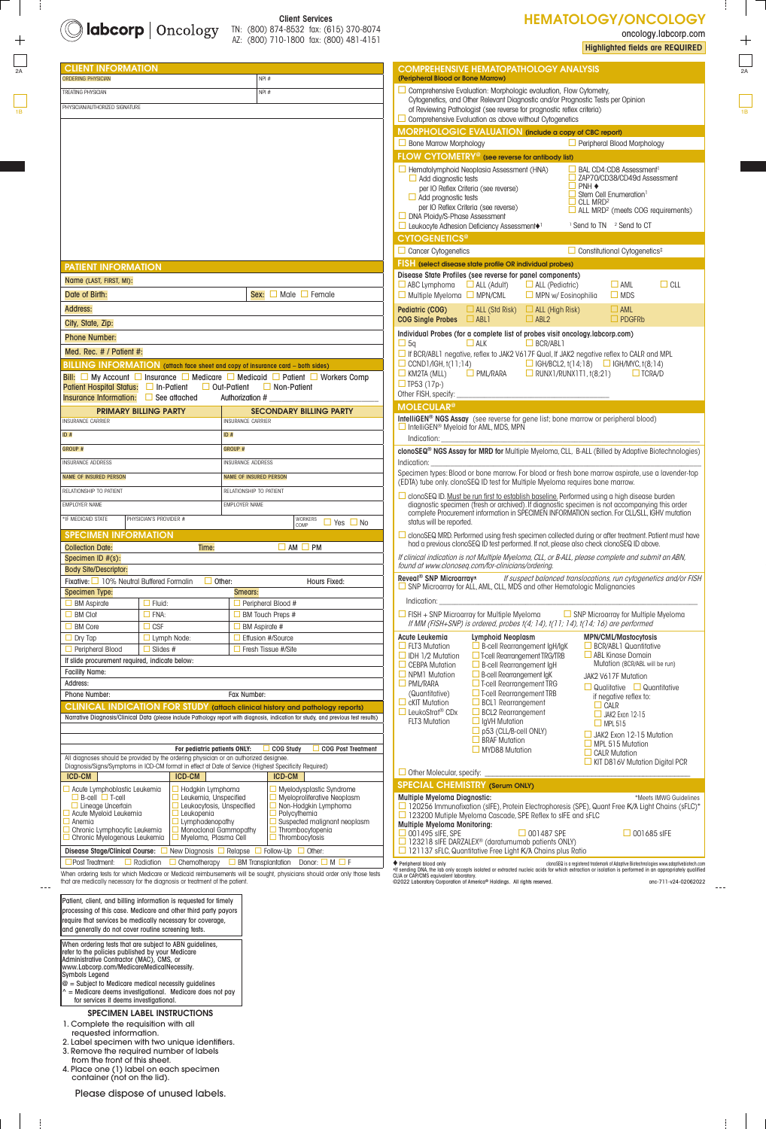| <b>Client Services</b><br><b>labcorp</b>   Oncology<br>TN: (800) 874-8532 fax: (615) 370-8074<br>AZ: (800) 710-1800 fax: (800) 481-4151                                                                                                                                                                                                             |                              |                                                  |                                                                                                                                                                                                                                 | <b>HEMATOLOGY/ONCOLOGY</b><br>oncology.labcorp.com                                                                                                                                                   |                                                                                                                                                                                                                                                                                                        |                                                                              |                                                 |                                                                                                                                                                                                                                                                                             |                                |                                        |  |
|-----------------------------------------------------------------------------------------------------------------------------------------------------------------------------------------------------------------------------------------------------------------------------------------------------------------------------------------------------|------------------------------|--------------------------------------------------|---------------------------------------------------------------------------------------------------------------------------------------------------------------------------------------------------------------------------------|------------------------------------------------------------------------------------------------------------------------------------------------------------------------------------------------------|--------------------------------------------------------------------------------------------------------------------------------------------------------------------------------------------------------------------------------------------------------------------------------------------------------|------------------------------------------------------------------------------|-------------------------------------------------|---------------------------------------------------------------------------------------------------------------------------------------------------------------------------------------------------------------------------------------------------------------------------------------------|--------------------------------|----------------------------------------|--|
|                                                                                                                                                                                                                                                                                                                                                     |                              |                                                  |                                                                                                                                                                                                                                 |                                                                                                                                                                                                      |                                                                                                                                                                                                                                                                                                        |                                                                              |                                                 |                                                                                                                                                                                                                                                                                             |                                | <b>Highlighted fields are REQUIRED</b> |  |
| <b>CLIENT INFORMATION</b>                                                                                                                                                                                                                                                                                                                           |                              |                                                  |                                                                                                                                                                                                                                 |                                                                                                                                                                                                      | <b>COMPREHENSIVE HEMATOPATHOLOGY ANALYSIS</b>                                                                                                                                                                                                                                                          |                                                                              |                                                 |                                                                                                                                                                                                                                                                                             |                                |                                        |  |
| <b>ORDERING PHYSICIAN</b>                                                                                                                                                                                                                                                                                                                           |                              |                                                  |                                                                                                                                                                                                                                 | NPI#                                                                                                                                                                                                 | (Peripheral Blood or Bone Marrow)                                                                                                                                                                                                                                                                      |                                                                              |                                                 |                                                                                                                                                                                                                                                                                             |                                |                                        |  |
| NPI#<br><b>TREATING PHYSICIAN</b><br>PHYSICIAN/AUTHORIZED SIGNATURE                                                                                                                                                                                                                                                                                 |                              |                                                  | □ Comprehensive Evaluation: Morphologic evaluation, Flow Cytometry,<br>Cytogenetics, and Other Relevant Diagnostic and/or Prognostic Tests per Opinion<br>of Reviewing Pathologist (see reverse for prognostic reflex criteria) |                                                                                                                                                                                                      |                                                                                                                                                                                                                                                                                                        |                                                                              |                                                 |                                                                                                                                                                                                                                                                                             |                                |                                        |  |
|                                                                                                                                                                                                                                                                                                                                                     |                              |                                                  |                                                                                                                                                                                                                                 |                                                                                                                                                                                                      | $\Box$ Comprehensive Evaluation as above without Cytogenetics                                                                                                                                                                                                                                          |                                                                              |                                                 |                                                                                                                                                                                                                                                                                             |                                |                                        |  |
|                                                                                                                                                                                                                                                                                                                                                     |                              |                                                  |                                                                                                                                                                                                                                 |                                                                                                                                                                                                      | <b>MORPHOLOGIC EVALUATION</b> (include a copy of CBC report)                                                                                                                                                                                                                                           |                                                                              |                                                 |                                                                                                                                                                                                                                                                                             |                                |                                        |  |
|                                                                                                                                                                                                                                                                                                                                                     |                              |                                                  |                                                                                                                                                                                                                                 |                                                                                                                                                                                                      | $\Box$ Bone Marrow Morphology<br>FLOW CYTOMETRY <sup>®</sup> (see reverse for antibody list)                                                                                                                                                                                                           |                                                                              |                                                 | Peripheral Blood Morphology                                                                                                                                                                                                                                                                 |                                |                                        |  |
|                                                                                                                                                                                                                                                                                                                                                     |                              |                                                  |                                                                                                                                                                                                                                 |                                                                                                                                                                                                      | $\Box$ Hematolymphoid Neoplasia Assessment (HNA)<br>$\Box$ Add diagnostic tests<br>$\Box$ Add prognostic tests<br>□ DNA Ploidy/S-Phase Assessment<br>$\Box$ Leukocyte Adhesion Deficiency Assessment $\triangleq$<br><b>CYTOGENETICS®</b>                                                              | per IO Reflex Criteria (see reverse)<br>per IO Reflex Criteria (see reverse) |                                                 | $\Box$ BAL CD4:CD8 Assessment <sup>1</sup><br>ZAP70/CD38/CD49d Assessment<br>$\Box$ PNH $\bullet$<br>Stem Cell Enumeration <sup>1</sup><br>$\Box$<br>$\Box$ CLL MRD <sup>2</sup><br>$\Box$ ALL MRD <sup>2</sup> (meets COG requirements)<br><sup>1</sup> Send to TN <sup>2</sup> Send to CT |                                |                                        |  |
|                                                                                                                                                                                                                                                                                                                                                     |                              |                                                  |                                                                                                                                                                                                                                 | $\Box$ Cancer Cytogenetics                                                                                                                                                                           |                                                                                                                                                                                                                                                                                                        |                                                                              | $\Box$ Constitutional Cytogenetics <sup>‡</sup> |                                                                                                                                                                                                                                                                                             |                                |                                        |  |
| <b>PATIENT INFORMATION</b>                                                                                                                                                                                                                                                                                                                          |                              |                                                  |                                                                                                                                                                                                                                 |                                                                                                                                                                                                      | <b>FISH</b> (select disease state profile OR individual probes)                                                                                                                                                                                                                                        |                                                                              |                                                 |                                                                                                                                                                                                                                                                                             |                                |                                        |  |
| Name (LAST, FIRST, MI):                                                                                                                                                                                                                                                                                                                             |                              |                                                  |                                                                                                                                                                                                                                 |                                                                                                                                                                                                      | Disease State Profiles (see reverse for panel components)<br>$\Box$ ABC Lymphoma $\Box$ ALL (Adult)                                                                                                                                                                                                    |                                                                              | $\Box$ ALL (Pediatric)                          |                                                                                                                                                                                                                                                                                             |                                | $\Box$ CLL                             |  |
| Date of Birth:                                                                                                                                                                                                                                                                                                                                      |                              |                                                  | Sex: $\Box$ Male $\Box$ Female                                                                                                                                                                                                  |                                                                                                                                                                                                      | $\Box$ Multiple Myeloma $\Box$ MPN/CML                                                                                                                                                                                                                                                                 |                                                                              | $\Box$ MPN w/ Eosinophilia                      |                                                                                                                                                                                                                                                                                             | $\square$ AML<br>$\square$ MDS |                                        |  |
| Address:                                                                                                                                                                                                                                                                                                                                            |                              |                                                  |                                                                                                                                                                                                                                 |                                                                                                                                                                                                      | Pediatric (COG)                                                                                                                                                                                                                                                                                        | $\Box$ ALL (Std Risk)                                                        | $\Box$ ALL (High Risk)                          | $\Box$ AML                                                                                                                                                                                                                                                                                  |                                |                                        |  |
| City, State, Zip:                                                                                                                                                                                                                                                                                                                                   |                              |                                                  |                                                                                                                                                                                                                                 |                                                                                                                                                                                                      | COG Single Probes ABL1                                                                                                                                                                                                                                                                                 |                                                                              | $\Box$ ABL2                                     |                                                                                                                                                                                                                                                                                             | $\Box$ PDGFRb                  |                                        |  |
| <b>Phone Number:</b>                                                                                                                                                                                                                                                                                                                                |                              |                                                  |                                                                                                                                                                                                                                 |                                                                                                                                                                                                      | Individual Probes (for a complete list of probes visit oncology.labcorp.com)                                                                                                                                                                                                                           |                                                                              |                                                 |                                                                                                                                                                                                                                                                                             |                                |                                        |  |
|                                                                                                                                                                                                                                                                                                                                                     |                              |                                                  |                                                                                                                                                                                                                                 |                                                                                                                                                                                                      | $\Box$ 5g                                                                                                                                                                                                                                                                                              | $\Box$ ALK                                                                   | $\Box$ BCR/ABL1                                 |                                                                                                                                                                                                                                                                                             |                                |                                        |  |
| Med. Rec. # / Patient #:                                                                                                                                                                                                                                                                                                                            |                              |                                                  |                                                                                                                                                                                                                                 |                                                                                                                                                                                                      | $\Box$ If BCR/ABL1 negative, reflex to JAK2 V617F Qual, If JAK2 negative reflex to CALR and MPL<br>$\Box$ CCND1/IGH, $t(11,14)$<br>□ IGH/BCL2, $t(14;18)$ □ IGH/MYC, $t(8;14)$                                                                                                                         |                                                                              |                                                 |                                                                                                                                                                                                                                                                                             |                                |                                        |  |
| BILLING INFORMATION (attach face sheet and copy of insurance card - both sides)<br><b>Bill:</b> $\Box$ My Account $\Box$ Insurance $\Box$ Medicare $\Box$ Medicaid $\Box$ Patient $\Box$ Workers Comp<br>Patient Hospital Status: □ In-Patient<br>$\Box$ Out-Patient $\Box$ Non-Patient<br>Insurance Information: □ See attached<br>Authorization # |                              |                                                  |                                                                                                                                                                                                                                 | $\Box$ KM2TA (MLL)<br>$\Box$ TP53 (17p-)<br>Other FISH, specify:                                                                                                                                     | $\Box$ PML/RARA                                                                                                                                                                                                                                                                                        |                                                                              | $\Box$ RUNX1/RUNX1T1, $t(8,21)$                 | $\Box$ TCRA/D                                                                                                                                                                                                                                                                               |                                |                                        |  |
|                                                                                                                                                                                                                                                                                                                                                     | <b>PRIMARY BILLING PARTY</b> |                                                  |                                                                                                                                                                                                                                 | <b>SECONDARY BILLING PARTY</b>                                                                                                                                                                       | <b>MOLECULAR<sup>®</sup></b>                                                                                                                                                                                                                                                                           |                                                                              |                                                 |                                                                                                                                                                                                                                                                                             |                                |                                        |  |
| <b>INSURANCE CARRIER</b>                                                                                                                                                                                                                                                                                                                            |                              |                                                  | <b>INSURANCE CARRIER</b>                                                                                                                                                                                                        |                                                                                                                                                                                                      | IntelliGEN <sup>®</sup> NGS Assay (see reverse for gene list; bone marrow or peripheral blood)<br>IntelliGEN <sup>®</sup> Myeloid for AML, MDS, MPN                                                                                                                                                    |                                                                              |                                                 |                                                                                                                                                                                                                                                                                             |                                |                                        |  |
| ID#                                                                                                                                                                                                                                                                                                                                                 |                              |                                                  | ID#                                                                                                                                                                                                                             |                                                                                                                                                                                                      | Indication:                                                                                                                                                                                                                                                                                            |                                                                              |                                                 |                                                                                                                                                                                                                                                                                             |                                |                                        |  |
| <b>GROUP #</b>                                                                                                                                                                                                                                                                                                                                      |                              |                                                  | GROUP #                                                                                                                                                                                                                         |                                                                                                                                                                                                      | clonoSEQ <sup>®</sup> NGS Assay for MRD for Multiple Myeloma, CLL, B-ALL (Billed by Adaptive Biotechnologies)                                                                                                                                                                                          |                                                                              |                                                 |                                                                                                                                                                                                                                                                                             |                                |                                        |  |
| <b>INSURANCE ADDRESS</b>                                                                                                                                                                                                                                                                                                                            |                              |                                                  | INSURANCE ADDRESS                                                                                                                                                                                                               |                                                                                                                                                                                                      | Indication:                                                                                                                                                                                                                                                                                            |                                                                              |                                                 |                                                                                                                                                                                                                                                                                             |                                |                                        |  |
| <b>NAME OF INSURED PERSON</b>                                                                                                                                                                                                                                                                                                                       |                              |                                                  | <b>NAME OF INSURED PERSON</b>                                                                                                                                                                                                   |                                                                                                                                                                                                      | Specimen types: Blood or bone marrow. For blood or fresh bone marrow aspirate, use a lavender-top                                                                                                                                                                                                      |                                                                              |                                                 |                                                                                                                                                                                                                                                                                             |                                |                                        |  |
| RELATIONSHIP TO PATIENT                                                                                                                                                                                                                                                                                                                             | RELATIONSHIP TO PATIENT      |                                                  | (EDTA) tube only. clonoSEQ ID test for Multiple Myeloma requires bone marrow.                                                                                                                                                   |                                                                                                                                                                                                      |                                                                                                                                                                                                                                                                                                        |                                                                              |                                                 |                                                                                                                                                                                                                                                                                             |                                |                                        |  |
| <b>EMPLOYER NAME</b>                                                                                                                                                                                                                                                                                                                                | <b>EMPLOYER NAME</b>         |                                                  |                                                                                                                                                                                                                                 |                                                                                                                                                                                                      | clonoSEQ ID. Must be run first to establish baseline. Performed using a high disease burden<br>diagnostic specimen (fresh or archived). If diagnostic specimen is not accompanying this order                                                                                                          |                                                                              |                                                 |                                                                                                                                                                                                                                                                                             |                                |                                        |  |
| *IF MEDICAID STATE                                                                                                                                                                                                                                                                                                                                  | PHYSICIAN'S PROVIDER #       |                                                  |                                                                                                                                                                                                                                 | <b>WORKERS</b><br>$\Box$ Yes $\Box$ No                                                                                                                                                               | complete Procurement information in SPECIMEN INFORMATION section. For CLL/SLL, IGHV mutation<br>status will be reported.                                                                                                                                                                               |                                                                              |                                                 |                                                                                                                                                                                                                                                                                             |                                |                                        |  |
| <b>SPECIMEN INFORMATION</b>                                                                                                                                                                                                                                                                                                                         |                              |                                                  |                                                                                                                                                                                                                                 | COMP                                                                                                                                                                                                 | □ clonoSEQ MRD. Performed using fresh specimen collected during or after treatment. Patient must have                                                                                                                                                                                                  |                                                                              |                                                 |                                                                                                                                                                                                                                                                                             |                                |                                        |  |
| <b>Collection Date:</b>                                                                                                                                                                                                                                                                                                                             |                              | Time:                                            |                                                                                                                                                                                                                                 | $\Box$ AM $\Box$ PM                                                                                                                                                                                  | had a previous clonoSEQ ID test performed. If not, please also check clonoSEQ ID above.                                                                                                                                                                                                                |                                                                              |                                                 |                                                                                                                                                                                                                                                                                             |                                |                                        |  |
| Specimen ID #(s):                                                                                                                                                                                                                                                                                                                                   |                              |                                                  |                                                                                                                                                                                                                                 |                                                                                                                                                                                                      | If clinical indication is not Multiple Myeloma, CLL, or B-ALL, please complete and submit an ABN,                                                                                                                                                                                                      |                                                                              |                                                 |                                                                                                                                                                                                                                                                                             |                                |                                        |  |
| <b>Body Site/Descriptor:</b>                                                                                                                                                                                                                                                                                                                        |                              |                                                  |                                                                                                                                                                                                                                 |                                                                                                                                                                                                      | found at www.clonoseq.com/for-clinicians/ordering.                                                                                                                                                                                                                                                     |                                                                              |                                                 |                                                                                                                                                                                                                                                                                             |                                |                                        |  |
| Fixative: 10% Neutral Buffered Formalin                                                                                                                                                                                                                                                                                                             |                              | $\Box$ Other:                                    |                                                                                                                                                                                                                                 | <b>Hours Fixed:</b>                                                                                                                                                                                  | Reveal <sup>®</sup> SNP Microarray <sup>*</sup><br>SNP Microarray for ALL, AML, CLL, MDS and other Hematologic Malignancies                                                                                                                                                                            |                                                                              |                                                 | If suspect balanced translocations, run cytogenetics and/or FISH                                                                                                                                                                                                                            |                                |                                        |  |
| <b>Specimen Type:</b><br>$\Box$ BM Aspirate                                                                                                                                                                                                                                                                                                         | $\Box$ Fluid:                |                                                  | <b>Smears:</b>                                                                                                                                                                                                                  | $\Box$ Peripheral Blood #                                                                                                                                                                            | Indication:                                                                                                                                                                                                                                                                                            |                                                                              |                                                 |                                                                                                                                                                                                                                                                                             |                                |                                        |  |
| $\square$ BM Clot                                                                                                                                                                                                                                                                                                                                   | $\Box$ FNA:                  |                                                  | $\Box$ BM Touch Preps #                                                                                                                                                                                                         |                                                                                                                                                                                                      | $\Box$ FISH + SNP Microarray for Multiple Myeloma                                                                                                                                                                                                                                                      |                                                                              |                                                 | $\Box$ SNP Microarray for Multiple Myeloma                                                                                                                                                                                                                                                  |                                |                                        |  |
| $\Box$ BM Core                                                                                                                                                                                                                                                                                                                                      | $\Box$ CSF                   |                                                  | $\Box$ BM Aspirate #                                                                                                                                                                                                            |                                                                                                                                                                                                      | If MM (FISH+SNP) is ordered, probes $t(4; 14)$ , $t(11; 14)$ , $t(14; 16)$ are performed                                                                                                                                                                                                               |                                                                              |                                                 |                                                                                                                                                                                                                                                                                             |                                |                                        |  |
| $\Box$ Dry Tap                                                                                                                                                                                                                                                                                                                                      | $\Box$ Lymph Node:           |                                                  | $\Box$ Effusion #/Source                                                                                                                                                                                                        |                                                                                                                                                                                                      | Acute Leukemia                                                                                                                                                                                                                                                                                         | <b>Lymphoid Neoplasm</b>                                                     |                                                 | <b>MPN/CML/Mastocytosis</b>                                                                                                                                                                                                                                                                 |                                |                                        |  |
| Peripheral Blood                                                                                                                                                                                                                                                                                                                                    | $\Box$ Slides #              |                                                  |                                                                                                                                                                                                                                 | $\Box$ Fresh Tissue #/Site                                                                                                                                                                           | $\Box$ FLT3 Mutation<br>$\Box$ IDH 1/2 Mutation                                                                                                                                                                                                                                                        | $\Box$ B-cell Rearrangement $IgH/gK$<br>T-cell Rearrangement TRG/TRB         |                                                 | <b>BCR/ABL1 Quantitative</b><br>ABL Kingse Domain                                                                                                                                                                                                                                           |                                |                                        |  |
| If slide procurement required, indicate below:<br><b>Facility Name:</b>                                                                                                                                                                                                                                                                             |                              |                                                  |                                                                                                                                                                                                                                 |                                                                                                                                                                                                      | $\Box$ CEBPA Mutation                                                                                                                                                                                                                                                                                  | $\Box$ B-cell Rearrangement IgH                                              |                                                 |                                                                                                                                                                                                                                                                                             | Mutation (BCR/ABL will be run) |                                        |  |
| Address:                                                                                                                                                                                                                                                                                                                                            |                              |                                                  |                                                                                                                                                                                                                                 |                                                                                                                                                                                                      | $\Box$ NPM1 Mutation<br>$\Box$ PML/RARA                                                                                                                                                                                                                                                                | $\Box$ B-cell Rearrangement IgK<br>$\Box$ T-cell Rearrangement TRG           |                                                 | JAK2 V617F Mutation                                                                                                                                                                                                                                                                         |                                |                                        |  |
| Phone Number:                                                                                                                                                                                                                                                                                                                                       |                              |                                                  | Fax Number:                                                                                                                                                                                                                     |                                                                                                                                                                                                      | (Quantitative)                                                                                                                                                                                                                                                                                         | $\Box$ T-cell Rearrangement TRB                                              |                                                 | $\Box$ Qualitative $\Box$ Quantitative                                                                                                                                                                                                                                                      | if negative reflex to:         |                                        |  |
|                                                                                                                                                                                                                                                                                                                                                     |                              |                                                  |                                                                                                                                                                                                                                 | <b>CLINICAL INDICATION FOR STUDY (attach clinical history and pathology reports)</b>                                                                                                                 | $\Box$ cKIT Mutation<br>$\Box$ LeukoStrat <sup>®</sup> CDx                                                                                                                                                                                                                                             | $\Box$ BCL1 Rearrangement<br>$\Box$ BCL2 Rearrangement                       |                                                 | $\Box$ CALR                                                                                                                                                                                                                                                                                 |                                |                                        |  |
|                                                                                                                                                                                                                                                                                                                                                     |                              |                                                  |                                                                                                                                                                                                                                 | Narrative Diagnosis/Clinical Data (please include Pathology report with diagnosis, indication for study, and previous test results)                                                                  | <b>FLT3 Mutation</b>                                                                                                                                                                                                                                                                                   | $\Box$ IgVH Mutation                                                         |                                                 | $\Box$ MPL 515                                                                                                                                                                                                                                                                              | $\Box$ JAK2 Exon 12-15         |                                        |  |
|                                                                                                                                                                                                                                                                                                                                                     |                              | For pediatric patients ONLY:                     |                                                                                                                                                                                                                                 | $\Box$ COG Study<br>$\Box$ COG Post Treatment                                                                                                                                                        |                                                                                                                                                                                                                                                                                                        | $\Box$ p53 (CLL/B-cell ONLY)<br>$\Box$ BRAF Mutation<br>MYD88 Mutation       |                                                 | $\Box$ JAK2 Exon 12-15 Mutation<br>$\Box$ MPL 515 Mutation                                                                                                                                                                                                                                  |                                |                                        |  |
| All diagnoses should be provided by the ordering physician or an authorized designee.                                                                                                                                                                                                                                                               |                              |                                                  |                                                                                                                                                                                                                                 |                                                                                                                                                                                                      |                                                                                                                                                                                                                                                                                                        |                                                                              |                                                 | $\Box$ CALR Mutation<br>$\Box$ KIT D816V Mutation Digital PCR                                                                                                                                                                                                                               |                                |                                        |  |
| <b>ICD-CM</b>                                                                                                                                                                                                                                                                                                                                       |                              | <b>ICD-CM</b>                                    |                                                                                                                                                                                                                                 | Diagnosis/Signs/Symptoms in ICD-CM format in effect at Date of Service (Highest Specificity Required)<br><b>ICD-CM</b>                                                                               | $\Box$ Other Molecular, specify:                                                                                                                                                                                                                                                                       |                                                                              |                                                 |                                                                                                                                                                                                                                                                                             |                                |                                        |  |
| Acute Lymphoblastic Leukemia                                                                                                                                                                                                                                                                                                                        |                              | $\Box$ Hodgkin Lymphoma                          |                                                                                                                                                                                                                                 | Myelodysplastic Syndrome                                                                                                                                                                             | <b>SPECIAL CHEMISTRY (Serum ONLY)</b>                                                                                                                                                                                                                                                                  |                                                                              |                                                 |                                                                                                                                                                                                                                                                                             |                                |                                        |  |
| $\Box$ B-cell $\Box$ T-cell                                                                                                                                                                                                                                                                                                                         |                              | $\Box$ Leukemia, Unspecified                     |                                                                                                                                                                                                                                 | Myeloproliferative Neoplasm                                                                                                                                                                          | <b>Multiple Myeloma Diagnostic:</b>                                                                                                                                                                                                                                                                    |                                                                              |                                                 |                                                                                                                                                                                                                                                                                             |                                | *Meets IMWG Guidelines                 |  |
| $\Box$ Lineage Uncertain<br>Acute Myeloid Leukemia                                                                                                                                                                                                                                                                                                  |                              | □ Leukocytosis, Unspecified<br>$\Box$ Leukopenia |                                                                                                                                                                                                                                 | Non-Hodgkin Lymphoma<br>$\Box$ Polycythemia                                                                                                                                                          | □ 120256 Immunofixation (sIFE), Protein Electrophoresis (SPE), Quant Free K/X Light Chains (sFLC)*<br>□ 123200 Mutiple Myeloma Cascade, SPE Reflex to sIFE and sFLC                                                                                                                                    |                                                                              |                                                 |                                                                                                                                                                                                                                                                                             |                                |                                        |  |
| $\Box$ Anemia<br>$\Box$ Chronic Lymphocytic Leukemia                                                                                                                                                                                                                                                                                                |                              | $\Box$ Lymphadenopathy<br>Monoclonal Gammopathy  |                                                                                                                                                                                                                                 | Suspected malignant neoplasm<br>$\Box$ Thrombocytopenia                                                                                                                                              | <b>Multiple Myeloma Monitoring:</b>                                                                                                                                                                                                                                                                    |                                                                              |                                                 |                                                                                                                                                                                                                                                                                             |                                |                                        |  |
| $\Box$ Chronic Myelogenous Leukemia                                                                                                                                                                                                                                                                                                                 |                              | Myeloma, Plasma Cell                             |                                                                                                                                                                                                                                 | $\Box$ Thrombocytosis                                                                                                                                                                                | $\Box$ 001495 sIFE. SPE<br>□ 123218 sIFE DARZALEX <sup>®</sup> (daratumumab patients ONLY)                                                                                                                                                                                                             |                                                                              | $\Box$ 001487 SPE                               |                                                                                                                                                                                                                                                                                             | $\Box$ 001685 sIFE             |                                        |  |
| <b>Disease Stage/Clinical Course:</b> $\Box$ New Diagnosis $\Box$ Relapse $\Box$ Follow-Up $\Box$ Other:                                                                                                                                                                                                                                            |                              |                                                  |                                                                                                                                                                                                                                 |                                                                                                                                                                                                      | □ 121137 sFLC, Quantitative Free Light K/ $\lambda$ Chains plus Ratio                                                                                                                                                                                                                                  |                                                                              |                                                 |                                                                                                                                                                                                                                                                                             |                                |                                        |  |
| <b>Post Treatment:</b><br>that are medically necessary for the diagnosis or treatment of the patient.                                                                                                                                                                                                                                               | $\Box$ Radiation             |                                                  |                                                                                                                                                                                                                                 | $\Box$ Chemotherapy $\Box$ BM Transplantation Donor: $\Box$ M $\Box$ F<br>When ordering tests for which Medicare or Medicaid reimbursements will be sought, physicians should order only those tests | ♦ Peripheral blood only<br>*If sending DNA, the lab only accepts isolated or extracted nucleic acids for which extraction or isolation is performed in an appropriately qualified<br>CLIA or CAP/CMS equivalent laboratory.<br>©2022 Laboratory Corporation of America® Holdings. All rights reserved. |                                                                              |                                                 | clonoSEQ is a registered trademark of Adaptive Biotechnologies www.adaptivebiotech.com                                                                                                                                                                                                      |                                | onc-711-v24-02062022                   |  |
| Patient, client, and billing information is requested for timely                                                                                                                                                                                                                                                                                    |                              |                                                  |                                                                                                                                                                                                                                 |                                                                                                                                                                                                      |                                                                                                                                                                                                                                                                                                        |                                                                              |                                                 |                                                                                                                                                                                                                                                                                             |                                |                                        |  |

 $\Box$ 

 $\mathbf{I}$ 

 $+$ 

Ϊ

Ĵ.

 $\frac{1}{10}$ 

 $\pm$   $\pm$ 

processing of this case. Medicare and other third party payors require that services be medically necessary for coverage, and generally do not cover routine screening tests.

When ordering tests that are subject to ABN guidelines,<br>refer to the policies published by your Medicare<br>Administrative Contractor (MAC), CMS, or<br>www.Labcorp.com/MedicareMedicalNecessity.<br>Symbols Legend<br> $@ = \text{Subject to Medicine medical necessity guidelines}\n^{\alpha} =$ 

 $\sim$ 

a kara

 $\frac{1}{2A}$ 

 $+$ 

 $\perp$ 

ΞĪ,

1B

- 
- **SPECIMEN LABEL INSTRUCTIONS**
	-
- 1. Complete the requisition with all requested information.
- 2. Label specimen with two unique identifiers.
- 3. Remove the required number of labels
- from the front of this sheet. 4. Place one (1) label on each specimen container (not on the lid).

Please dispose of unused labels.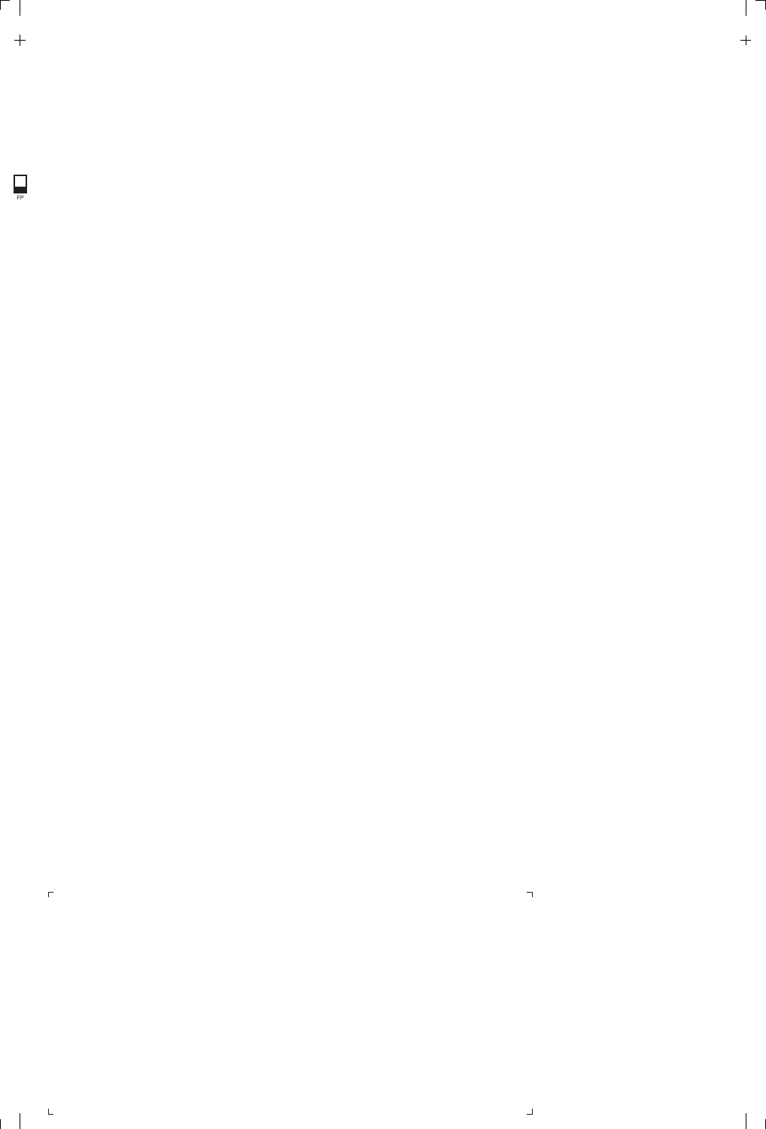$\begin{array}{c} | \\ + \end{array}$ 

 $\mathbb{R}^2$ 

 $\begin{array}{c}\n\hline\n+ \\
\hline\n\end{array}$ 

 $\begin{pmatrix} 1 & b \\ c & d \end{pmatrix}$ 

 $\overline{\Gamma}$  $\bar{\mathcal{A}}$ 

 $\frac{1}{2}$